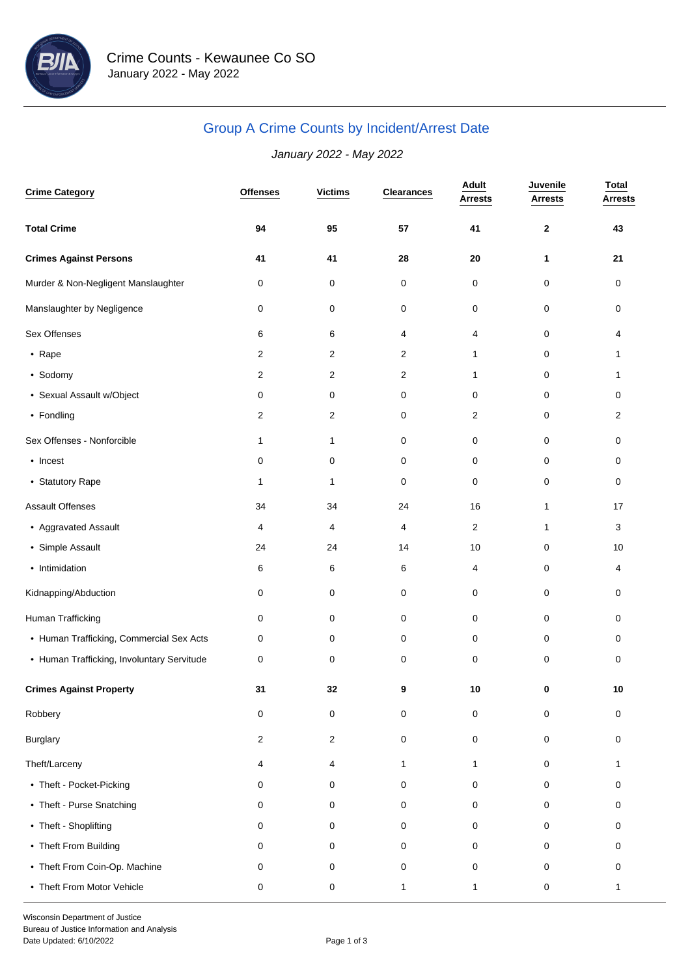

# Group A Crime Counts by Incident/Arrest Date

## January 2022 - May 2022

| <b>Crime Category</b>                      | <b>Offenses</b> | <b>Victims</b> | <b>Clearances</b> | Adult<br><b>Arrests</b> | Juvenile<br><b>Arrests</b> | <b>Total</b><br><b>Arrests</b> |
|--------------------------------------------|-----------------|----------------|-------------------|-------------------------|----------------------------|--------------------------------|
| <b>Total Crime</b>                         | 94              | 95             | 57                | 41                      | $\mathbf{2}$               | 43                             |
| <b>Crimes Against Persons</b>              | 41              | 41             | 28                | 20                      | 1                          | 21                             |
| Murder & Non-Negligent Manslaughter        | 0               | 0              | 0                 | 0                       | 0                          | 0                              |
| Manslaughter by Negligence                 | 0               | 0              | 0                 | 0                       | 0                          | 0                              |
| Sex Offenses                               | 6               | 6              | 4                 | 4                       | 0                          | 4                              |
| • Rape                                     | 2               | 2              | $\overline{c}$    | 1                       | 0                          | 1                              |
| • Sodomy                                   | 2               | $\overline{2}$ | $\mathbf{2}$      | 1                       | 0                          | $\mathbf{1}$                   |
| • Sexual Assault w/Object                  | 0               | 0              | 0                 | 0                       | 0                          | 0                              |
| • Fondling                                 | 2               | 2              | 0                 | 2                       | 0                          | $\overline{c}$                 |
| Sex Offenses - Nonforcible                 | 1               | 1              | 0                 | 0                       | 0                          | 0                              |
| • Incest                                   | 0               | 0              | 0                 | 0                       | 0                          | 0                              |
| • Statutory Rape                           | 1               | $\mathbf{1}$   | 0                 | 0                       | 0                          | 0                              |
| Assault Offenses                           | 34              | 34             | 24                | 16                      | $\mathbf{1}$               | 17                             |
| • Aggravated Assault                       | 4               | 4              | 4                 | 2                       | $\mathbf{1}$               | 3                              |
| • Simple Assault                           | 24              | 24             | 14                | 10                      | 0                          | 10                             |
| • Intimidation                             | 6               | 6              | 6                 | 4                       | 0                          | 4                              |
| Kidnapping/Abduction                       | 0               | 0              | 0                 | 0                       | 0                          | 0                              |
| Human Trafficking                          | 0               | 0              | 0                 | 0                       | 0                          | 0                              |
| • Human Trafficking, Commercial Sex Acts   | 0               | 0              | 0                 | 0                       | 0                          | 0                              |
| • Human Trafficking, Involuntary Servitude | 0               | 0              | 0                 | 0                       | 0                          | 0                              |
| <b>Crimes Against Property</b>             | 31              | 32             | 9                 | 10                      | $\bf{0}$                   | 10                             |
| Robbery                                    | 0               | 0              | 0                 | 0                       | 0                          | 0                              |
| Burglary                                   | 2               | $\overline{2}$ | 0                 | $\mathbf 0$             | $\mathbf 0$                | 0                              |
| Theft/Larceny                              | 4               | 4              | 1                 | $\mathbf{1}$            | 0                          | 1                              |
| • Theft - Pocket-Picking                   | 0               | 0              | 0                 | 0                       | 0                          | 0                              |
| • Theft - Purse Snatching                  | 0               | 0              | 0                 | 0                       | 0                          | 0                              |
| • Theft - Shoplifting                      | 0               | 0              | 0                 | 0                       | 0                          | 0                              |
| • Theft From Building                      | 0               | 0              | 0                 | 0                       | 0                          | 0                              |
| • Theft From Coin-Op. Machine              | 0               | 0              | 0                 | 0                       | 0                          | 0                              |
| • Theft From Motor Vehicle                 | 0               | 0              | 1                 | 1                       | 0                          | $\mathbf{1}$                   |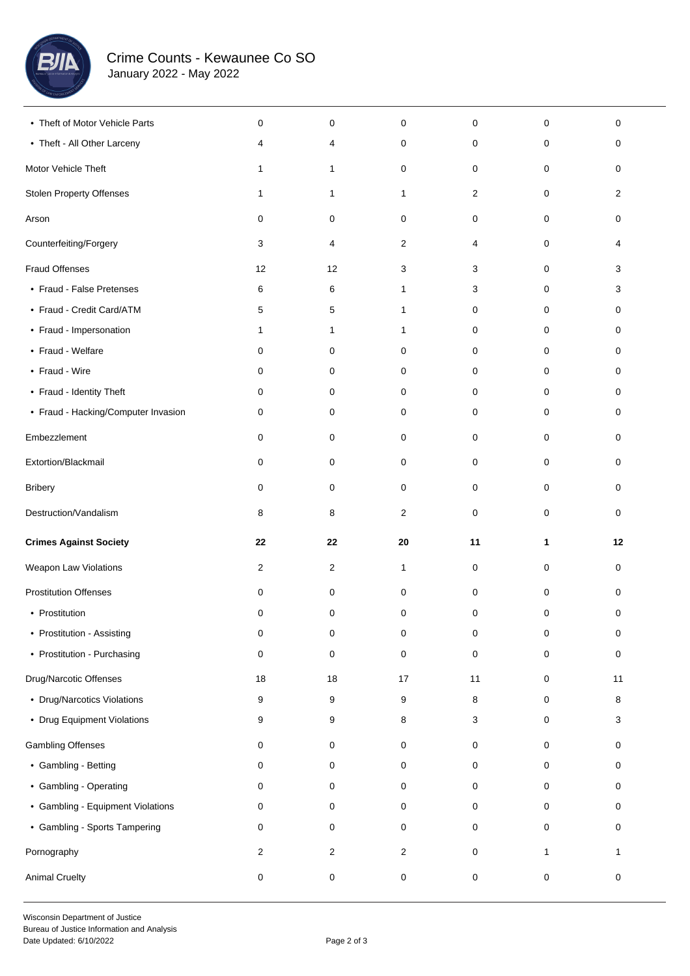

| • Theft of Motor Vehicle Parts      | 0              | 0            | 0              | 0  | 0            | 0            |  |
|-------------------------------------|----------------|--------------|----------------|----|--------------|--------------|--|
| • Theft - All Other Larceny         | 4              | 4            | 0              | 0  | 0            | 0            |  |
| Motor Vehicle Theft                 | $\mathbf{1}$   | $\mathbf{1}$ | 0              | 0  | 0            | 0            |  |
| Stolen Property Offenses            | $\mathbf{1}$   | $\mathbf{1}$ | 1              | 2  | 0            | 2            |  |
| Arson                               | 0              | 0            | 0              | 0  | 0            | 0            |  |
| Counterfeiting/Forgery              | 3              | 4            | $\overline{2}$ | 4  | 0            | 4            |  |
| <b>Fraud Offenses</b>               | 12             | 12           | 3              | 3  | 0            | 3            |  |
| • Fraud - False Pretenses           | 6              | 6            | 1              | 3  | 0            | 3            |  |
| • Fraud - Credit Card/ATM           | 5              | 5            | 1              | 0  | 0            | 0            |  |
| • Fraud - Impersonation             | $\mathbf{1}$   | 1            | 1              | 0  | 0            | 0            |  |
| • Fraud - Welfare                   | 0              | 0            | 0              | 0  | 0            | 0            |  |
| • Fraud - Wire                      | 0              | 0            | 0              | 0  | 0            | 0            |  |
| • Fraud - Identity Theft            | 0              | 0            | 0              | 0  | 0            | 0            |  |
| • Fraud - Hacking/Computer Invasion | 0              | 0            | 0              | 0  | 0            | 0            |  |
| Embezzlement                        | 0              | 0            | 0              | 0  | 0            | 0            |  |
| Extortion/Blackmail                 | 0              | 0            | 0              | 0  | 0            | 0            |  |
| <b>Bribery</b>                      | 0              | 0            | 0              | 0  | 0            | 0            |  |
| Destruction/Vandalism               | 8              | 8            | 2              | 0  | 0            | 0            |  |
|                                     |                |              |                |    |              |              |  |
| <b>Crimes Against Society</b>       | 22             | 22           | 20             | 11 | 1            | 12           |  |
| Weapon Law Violations               | $\overline{2}$ | 2            | $\mathbf{1}$   | 0  | 0            | 0            |  |
| <b>Prostitution Offenses</b>        | 0              | 0            | 0              | 0  | 0            | 0            |  |
| • Prostitution                      | 0              | 0            | 0              | 0  | 0            | 0            |  |
| • Prostitution - Assisting          | 0              | 0            | 0              | 0  | 0            | 0            |  |
| • Prostitution - Purchasing         | 0              | 0            | 0              | 0  | 0            | 0            |  |
| Drug/Narcotic Offenses              | 18             | 18           | $17$           | 11 | $\mathbf 0$  | 11           |  |
| • Drug/Narcotics Violations         | 9              | 9            | 9              | 8  | $\mathbf 0$  | 8            |  |
| • Drug Equipment Violations         | 9              | 9            | 8              | 3  | $\mathbf 0$  | 3            |  |
| <b>Gambling Offenses</b>            | 0              | 0            | 0              | 0  | $\mathbf 0$  | 0            |  |
| • Gambling - Betting                | 0              | 0            | 0              | 0  | $\mathbf 0$  | 0            |  |
| • Gambling - Operating              | 0              | 0            | 0              | 0  | $\mathbf 0$  | 0            |  |
| • Gambling - Equipment Violations   | 0              | 0            | 0              | 0  | $\mathbf 0$  | 0            |  |
| • Gambling - Sports Tampering       | 0              | 0            | 0              | 0  | 0            | 0            |  |
| Pornography                         | $\overline{2}$ | 2            | $\overline{2}$ | 0  | $\mathbf{1}$ | $\mathbf{1}$ |  |
| <b>Animal Cruelty</b>               | $\pmb{0}$      | 0            | 0              | 0  | $\mathsf 0$  | 0            |  |